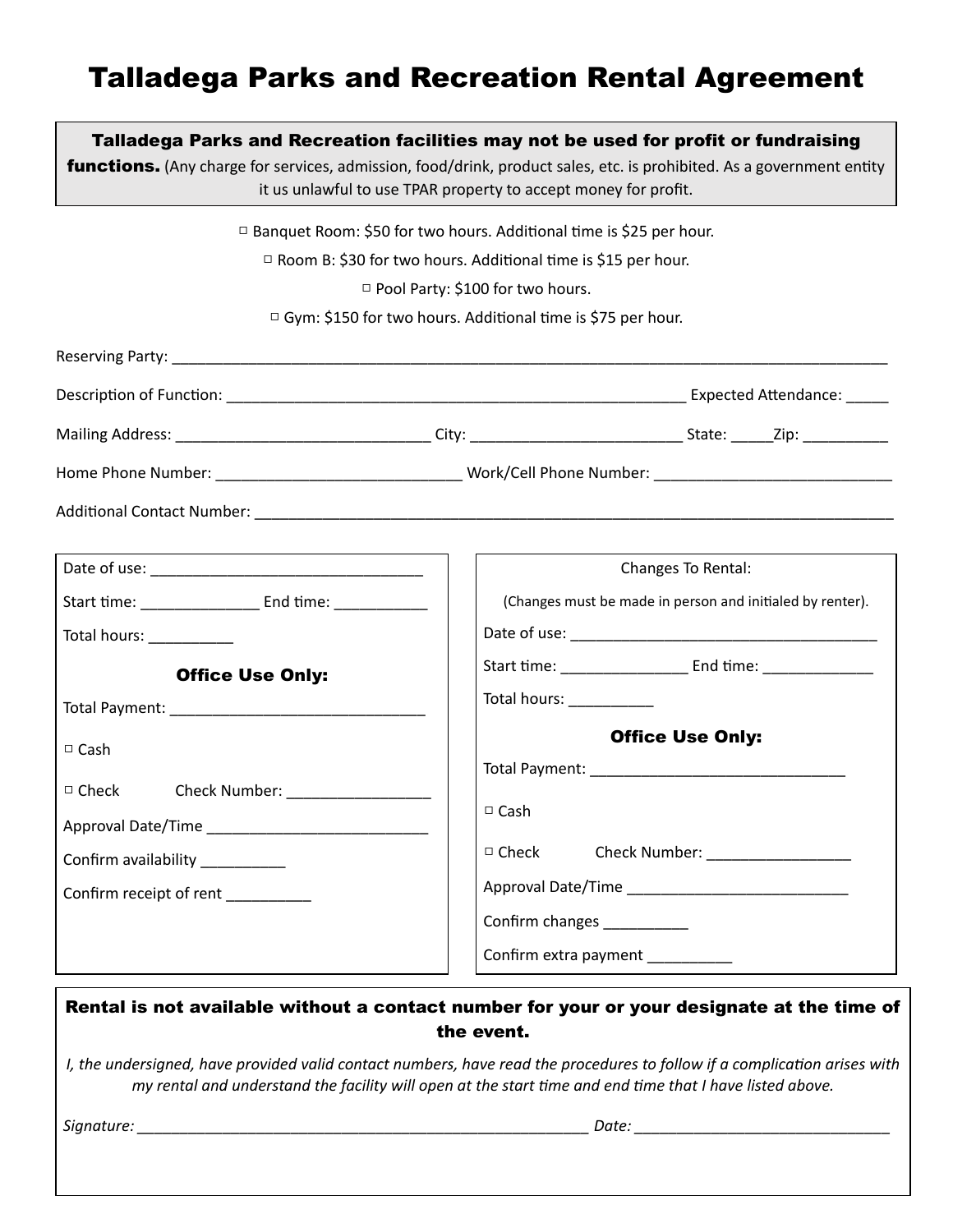# Talladega Parks and Recreation Rental Agreement

|                                                                                                                                                                                                               | Talladega Parks and Recreation facilities may not be used for profit or fundraising<br>functions. (Any charge for services, admission, food/drink, product sales, etc. is prohibited. As a government entity<br>it us unlawful to use TPAR property to accept money for profit.                                                                            |
|---------------------------------------------------------------------------------------------------------------------------------------------------------------------------------------------------------------|------------------------------------------------------------------------------------------------------------------------------------------------------------------------------------------------------------------------------------------------------------------------------------------------------------------------------------------------------------|
|                                                                                                                                                                                                               | □ Banquet Room: \$50 for two hours. Additional time is \$25 per hour.<br>□ Room B: \$30 for two hours. Additional time is \$15 per hour.<br>□ Pool Party: \$100 for two hours.<br>□ Gym: \$150 for two hours. Additional time is \$75 per hour.                                                                                                            |
|                                                                                                                                                                                                               |                                                                                                                                                                                                                                                                                                                                                            |
|                                                                                                                                                                                                               |                                                                                                                                                                                                                                                                                                                                                            |
|                                                                                                                                                                                                               |                                                                                                                                                                                                                                                                                                                                                            |
| Total hours: ____________<br><b>Office Use Only:</b><br>$\Box$ Cash<br>$\Box$ Check<br>Check Number: ____________________<br>Approval Date/Time<br>Confirm availability __________<br>Confirm receipt of rent | Changes To Rental:<br>(Changes must be made in person and initialed by renter).<br>Total hours: ____________<br><b>Office Use Only:</b><br>$\Box$ Cash<br>$\Box$ Check<br>Check Number: Name of the Check Number:<br>Confirm changes _________<br>Confirm extra payment __________                                                                         |
| Signature:                                                                                                                                                                                                    | Rental is not available without a contact number for your or your designate at the time of<br>the event.<br>I, the undersigned, have provided valid contact numbers, have read the procedures to follow if a complication arises with<br>my rental and understand the facility will open at the start time and end time that I have listed above.<br>Date: |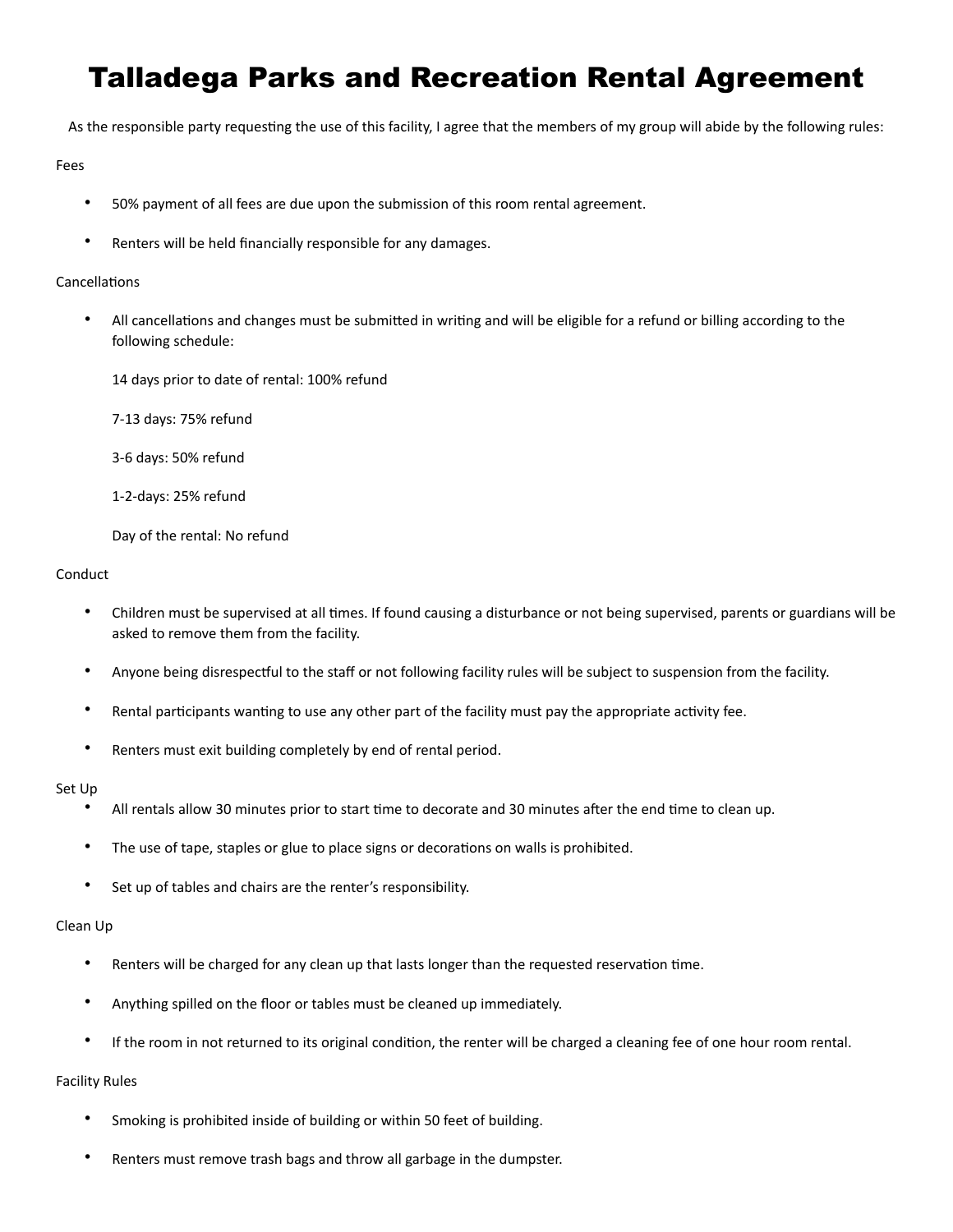# Talladega Parks and Recreation Rental Agreement

As the responsible party requesting the use of this facility, I agree that the members of my group will abide by the following rules:

#### Fees

- 50% payment of all fees are due upon the submission of this room rental agreement.
- Renters will be held financially responsible for any damages.

#### Cancellations

- All cancellations and changes must be submitted in writing and will be eligible for a refund or billing according to the following schedule:
	- 14 days prior to date of rental: 100% refund
	- 7-13 days: 75% refund
	- 3-6 days: 50% refund
	- 1-2-days: 25% refund
	- Day of the rental: No refund

#### Conduct

- Children must be supervised at all times. If found causing a disturbance or not being supervised, parents or guardians will be asked to remove them from the facility.
- Anyone being disrespectful to the staff or not following facility rules will be subject to suspension from the facility.
- Rental participants wanting to use any other part of the facility must pay the appropriate activity fee.
- Renters must exit building completely by end of rental period.

#### Set Up

- All rentals allow 30 minutes prior to start time to decorate and 30 minutes after the end time to clean up.
- The use of tape, staples or glue to place signs or decorations on walls is prohibited.
- Set up of tables and chairs are the renter's responsibility.

#### Clean Up

- Renters will be charged for any clean up that lasts longer than the requested reservation time.
- Anything spilled on the floor or tables must be cleaned up immediately.
- If the room in not returned to its original condition, the renter will be charged a cleaning fee of one hour room rental.

## Facility Rules

- Smoking is prohibited inside of building or within 50 feet of building.
- Renters must remove trash bags and throw all garbage in the dumpster.